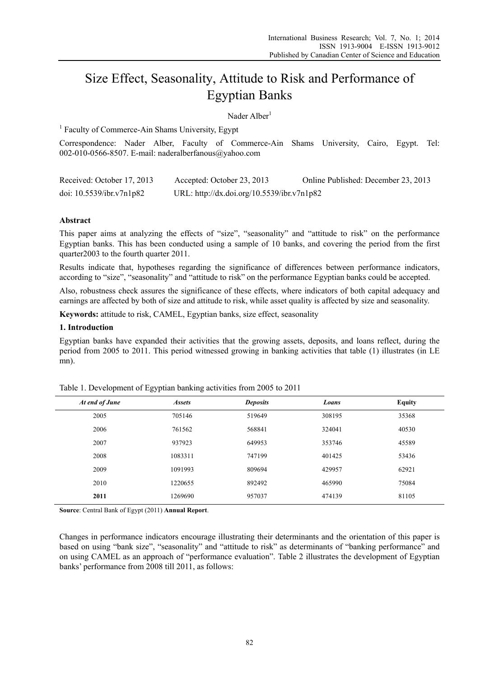# Size Effect, Seasonality, Attitude to Risk and Performance of Egyptian Banks

Nader Alber<sup>1</sup>

<sup>1</sup> Faculty of Commerce-Ain Shams University, Egypt

Correspondence: Nader Alber, Faculty of Commerce-Ain Shams University, Cairo, Egypt. Tel: 002-010-0566-8507. E-mail: naderalberfanous@yahoo.com

| Received: October 17, 2013  | Accepted: October 23, 2013                 | Online Published: December 23, 2013 |
|-----------------------------|--------------------------------------------|-------------------------------------|
| doi: $10.5539$ /ibr.v7n1p82 | URL: http://dx.doi.org/10.5539/ibr.v7n1p82 |                                     |

## **Abstract**

This paper aims at analyzing the effects of "size", "seasonality" and "attitude to risk" on the performance Egyptian banks. This has been conducted using a sample of 10 banks, and covering the period from the first quarter2003 to the fourth quarter 2011.

Results indicate that, hypotheses regarding the significance of differences between performance indicators, according to "size", "seasonality" and "attitude to risk" on the performance Egyptian banks could be accepted.

Also, robustness check assures the significance of these effects, where indicators of both capital adequacy and earnings are affected by both of size and attitude to risk, while asset quality is affected by size and seasonality.

**Keywords:** attitude to risk, CAMEL, Egyptian banks, size effect, seasonality

## **1. Introduction**

Egyptian banks have expanded their activities that the growing assets, deposits, and loans reflect, during the period from 2005 to 2011. This period witnessed growing in banking activities that table (1) illustrates (in LE mn).

| At end of June | <b>Assets</b> | <b>Deposits</b> | Loans  | <b>Equity</b> |
|----------------|---------------|-----------------|--------|---------------|
| 2005           | 705146        | 519649          | 308195 | 35368         |
| 2006           | 761562        | 568841          | 324041 | 40530         |
| 2007           | 937923        | 649953          | 353746 | 45589         |
| 2008           | 1083311       | 747199          | 401425 | 53436         |
| 2009           | 1091993       | 809694          | 429957 | 62921         |
| 2010           | 1220655       | 892492          | 465990 | 75084         |
| 2011           | 1269690       | 957037          | 474139 | 81105         |
|                |               |                 |        |               |

Table 1. Development of Egyptian banking activities from 2005 to 2011

**Source**: Central Bank of Egypt (2011) **Annual Report**.

Changes in performance indicators encourage illustrating their determinants and the orientation of this paper is based on using "bank size", "seasonality" and "attitude to risk" as determinants of "banking performance" and on using CAMEL as an approach of "performance evaluation". Table 2 illustrates the development of Egyptian banks' performance from 2008 till 2011, as follows: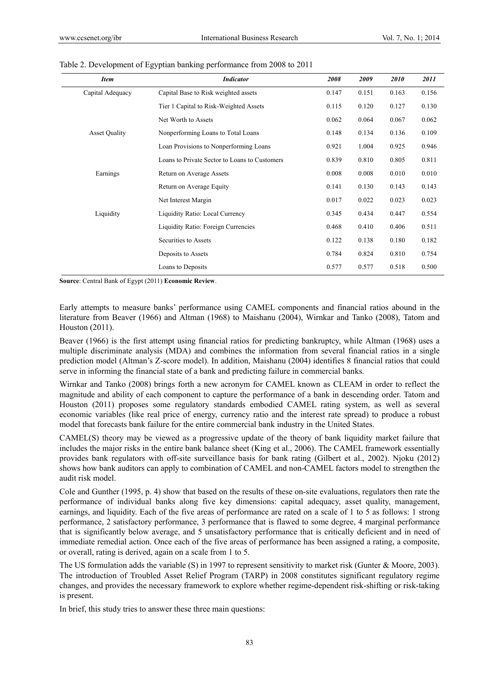l,

| <b>Item</b>          | <b>Indicator</b>                              | 2008  | 2009  | 2010  | 2011  |
|----------------------|-----------------------------------------------|-------|-------|-------|-------|
| Capital Adequacy     | Capital Base to Risk weighted assets          | 0.147 | 0.151 | 0.163 | 0.156 |
|                      | Tier 1 Capital to Risk-Weighted Assets        | 0.115 | 0.120 | 0.127 | 0.130 |
|                      | Net Worth to Assets                           | 0.062 | 0.064 | 0.067 | 0.062 |
| <b>Asset Quality</b> | Nonperforming Loans to Total Loans            | 0.148 | 0.134 | 0.136 | 0.109 |
|                      | Loan Provisions to Nonperforming Loans        | 0.921 | 1.004 | 0.925 | 0.946 |
|                      | Loans to Private Sector to Loans to Customers | 0.839 | 0.810 | 0.805 | 0.811 |
| Earnings             | Return on Average Assets                      | 0.008 | 0.008 | 0.010 | 0.010 |
|                      | Return on Average Equity                      | 0.141 | 0.130 | 0.143 | 0.143 |
|                      | Net Interest Margin                           | 0.017 | 0.022 | 0.023 | 0.023 |
| Liquidity            | Liquidity Ratio: Local Currency               | 0.345 | 0.434 | 0.447 | 0.554 |
|                      | Liquidity Ratio: Foreign Currencies           | 0.468 | 0.410 | 0.406 | 0.511 |
|                      | Securities to Assets                          | 0.122 | 0.138 | 0.180 | 0.182 |
|                      | Deposits to Assets                            | 0.784 | 0.824 | 0.810 | 0.754 |
|                      | Loans to Deposits                             | 0.577 | 0.577 | 0.518 | 0.500 |

#### Table 2. Development of Egyptian banking performance from 2008 to 2011

**Source**: Central Bank of Egypt (2011) **Economic Review**.

Early attempts to measure banks' performance using CAMEL components and financial ratios abound in the literature from Beaver (1966) and Altman (1968) to Maishanu (2004), Wirnkar and Tanko (2008), Tatom and Houston (2011).

Beaver (1966) is the first attempt using financial ratios for predicting bankruptcy, while Altman (1968) uses a multiple discriminate analysis (MDA) and combines the information from several financial ratios in a single prediction model (Altman's Z-score model). In addition, Maishanu (2004) identifies 8 financial ratios that could serve in informing the financial state of a bank and predicting failure in commercial banks.

Wirnkar and Tanko (2008) brings forth a new acronym for CAMEL known as CLEAM in order to reflect the magnitude and ability of each component to capture the performance of a bank in descending order. Tatom and Houston (2011) proposes some regulatory standards embodied CAMEL rating system, as well as several economic variables (like real price of energy, currency ratio and the interest rate spread) to produce a robust model that forecasts bank failure for the entire commercial bank industry in the United States.

CAMEL(S) theory may be viewed as a progressive update of the theory of bank liquidity market failure that includes the major risks in the entire bank balance sheet (King et al., 2006). The CAMEL framework essentially provides bank regulators with off-site surveillance basis for bank rating (Gilbert et al., 2002). Njoku (2012) shows how bank auditors can apply to combination of CAMEL and non-CAMEL factors model to strengthen the audit risk model.

Cole and Gunther (1995, p. 4) show that based on the results of these on-site evaluations, regulators then rate the performance of individual banks along five key dimensions: capital adequacy, asset quality, management, earnings, and liquidity. Each of the five areas of performance are rated on a scale of 1 to 5 as follows: 1 strong performance, 2 satisfactory performance, 3 performance that is flawed to some degree, 4 marginal performance that is significantly below average, and 5 unsatisfactory performance that is critically deficient and in need of immediate remedial action. Once each of the five areas of performance has been assigned a rating, a composite, or overall, rating is derived, again on a scale from 1 to 5.

The US formulation adds the variable (S) in 1997 to represent sensitivity to market risk (Gunter & Moore, 2003). The introduction of Troubled Asset Relief Program (TARP) in 2008 constitutes significant regulatory regime changes, and provides the necessary framework to explore whether regime-dependent risk-shifting or risk-taking is present.

In brief, this study tries to answer these three main questions: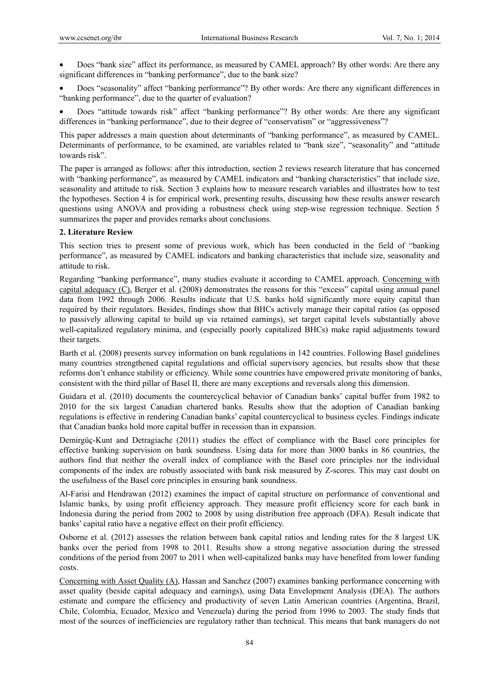Does "bank size" affect its performance, as measured by CAMEL approach? By other words: Are there any significant differences in "banking performance", due to the bank size?

 Does "seasonality" affect "banking performance"? By other words: Are there any significant differences in "banking performance", due to the quarter of evaluation?

 Does "attitude towards risk" affect "banking performance"? By other words: Are there any significant differences in "banking performance", due to their degree of "conservatism" or "aggressiveness"?

This paper addresses a main question about determinants of "banking performance", as measured by CAMEL. Determinants of performance, to be examined, are variables related to "bank size", "seasonality" and "attitude towards risk".

The paper is arranged as follows: after this introduction, section 2 reviews research literature that has concerned with "banking performance", as measured by CAMEL indicators and "banking characteristics" that include size, seasonality and attitude to risk. Section 3 explains how to measure research variables and illustrates how to test the hypotheses. Section 4 is for empirical work, presenting results, discussing how these results answer research questions using ANOVA and providing a robustness check using step-wise regression technique. Section 5 summarizes the paper and provides remarks about conclusions.

## **2. Literature Review**

This section tries to present some of previous work, which has been conducted in the field of "banking performance", as measured by CAMEL indicators and banking characteristics that include size, seasonality and attitude to risk.

Regarding "banking performance", many studies evaluate it according to CAMEL approach. Concerning with capital adequacy (C), Berger et al. (2008) demonstrates the reasons for this "excess" capital using annual panel data from 1992 through 2006. Results indicate that U.S. banks hold significantly more equity capital than required by their regulators. Besides, findings show that BHCs actively manage their capital ratios (as opposed to passively allowing capital to build up via retained earnings), set target capital levels substantially above well-capitalized regulatory minima, and (especially poorly capitalized BHCs) make rapid adjustments toward their targets.

Barth et al. (2008) presents survey information on bank regulations in 142 countries. Following Basel guidelines many countries strengthened capital regulations and official supervisory agencies, but results show that these reforms don't enhance stability or efficiency. While some countries have empowered private monitoring of banks, consistent with the third pillar of Basel II, there are many exceptions and reversals along this dimension.

Guidara et al. (2010) documents the countercyclical behavior of Canadian banks' capital buffer from 1982 to 2010 for the six largest Canadian chartered banks. Results show that the adoption of Canadian banking regulations is effective in rendering Canadian banks' capital countercyclical to business cycles. Findings indicate that Canadian banks hold more capital buffer in recession than in expansion.

Demirgüç-Kunt and Detragiache (2011) studies the effect of compliance with the Basel core principles for effective banking supervision on bank soundness. Using data for more than 3000 banks in 86 countries, the authors find that neither the overall index of compliance with the Basel core principles nor the individual components of the index are robustly associated with bank risk measured by Z-scores. This may cast doubt on the usefulness of the Basel core principles in ensuring bank soundness.

Al-Farisi and Hendrawan (2012) examines the impact of capital structure on performance of conventional and Islamic banks, by using profit efficiency approach. They measure profit efficiency score for each bank in Indonesia during the period from 2002 to 2008 by using distribution free approach (DFA). Result indicate that banks' capital ratio have a negative effect on their profit efficiency.

Osborne et al. (2012) assesses the relation between bank capital ratios and lending rates for the 8 largest UK banks over the period from 1998 to 2011. Results show a strong negative association during the stressed conditions of the period from 2007 to 2011 when well-capitalized banks may have benefited from lower funding costs.

Concerning with Asset Quality (A), Hassan and Sanchez (2007) examines banking performance concerning with asset quality (beside capital adequacy and earnings), using Data Envelopment Analysis (DEA). The authors estimate and compare the efficiency and productivity of seven Latin American countries (Argentina, Brazil, Chile, Colombia, Ecuador, Mexico and Venezuela) during the period from 1996 to 2003. The study finds that most of the sources of inefficiencies are regulatory rather than technical. This means that bank managers do not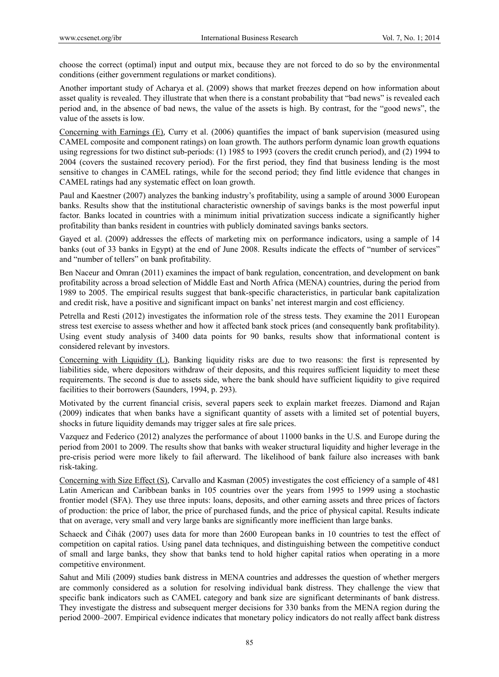choose the correct (optimal) input and output mix, because they are not forced to do so by the environmental conditions (either government regulations or market conditions).

Another important study of Acharya et al. (2009) shows that market freezes depend on how information about asset quality is revealed. They illustrate that when there is a constant probability that "bad news" is revealed each period and, in the absence of bad news, the value of the assets is high. By contrast, for the "good news", the value of the assets is low.

Concerning with Earnings (E), Curry et al. (2006) quantifies the impact of bank supervision (measured using CAMEL composite and component ratings) on loan growth. The authors perform dynamic loan growth equations using regressions for two distinct sub-periods: (1) 1985 to 1993 (covers the credit crunch period), and (2) 1994 to 2004 (covers the sustained recovery period). For the first period, they find that business lending is the most sensitive to changes in CAMEL ratings, while for the second period; they find little evidence that changes in CAMEL ratings had any systematic effect on loan growth.

Paul and Kaestner (2007) analyzes the banking industry's profitability, using a sample of around 3000 European banks. Results show that the institutional characteristic ownership of savings banks is the most powerful input factor. Banks located in countries with a minimum initial privatization success indicate a significantly higher profitability than banks resident in countries with publicly dominated savings banks sectors.

Gayed et al. (2009) addresses the effects of marketing mix on performance indicators, using a sample of 14 banks (out of 33 banks in Egypt) at the end of June 2008. Results indicate the effects of "number of services" and "number of tellers" on bank profitability.

Ben Naceur and Omran (2011) examines the impact of bank regulation, concentration, and development on bank profitability across a broad selection of Middle East and North Africa (MENA) countries, during the period from 1989 to 2005. The empirical results suggest that bank-specific characteristics, in particular bank capitalization and credit risk, have a positive and significant impact on banks' net interest margin and cost efficiency.

Petrella and Resti (2012) investigates the information role of the stress tests. They examine the 2011 European stress test exercise to assess whether and how it affected bank stock prices (and consequently bank profitability). Using event study analysis of 3400 data points for 90 banks, results show that informational content is considered relevant by investors.

Concerning with Liquidity (L), Banking liquidity risks are due to two reasons: the first is represented by liabilities side, where depositors withdraw of their deposits, and this requires sufficient liquidity to meet these requirements. The second is due to assets side, where the bank should have sufficient liquidity to give required facilities to their borrowers (Saunders, 1994, p. 293).

Motivated by the current financial crisis, several papers seek to explain market freezes. Diamond and Rajan (2009) indicates that when banks have a significant quantity of assets with a limited set of potential buyers, shocks in future liquidity demands may trigger sales at fire sale prices.

Vazquez and Federico (2012) analyzes the performance of about 11000 banks in the U.S. and Europe during the period from 2001 to 2009. The results show that banks with weaker structural liquidity and higher leverage in the pre-crisis period were more likely to fail afterward. The likelihood of bank failure also increases with bank risk-taking.

Concerning with Size Effect (S), Carvallo and Kasman (2005) investigates the cost efficiency of a sample of 481 Latin American and Caribbean banks in 105 countries over the years from 1995 to 1999 using a stochastic frontier model (SFA). They use three inputs: loans, deposits, and other earning assets and three prices of factors of production: the price of labor, the price of purchased funds, and the price of physical capital. Results indicate that on average, very small and very large banks are significantly more inefficient than large banks.

Schaeck and Čihák (2007) uses data for more than 2600 European banks in 10 countries to test the effect of competition on capital ratios. Using panel data techniques, and distinguishing between the competitive conduct of small and large banks, they show that banks tend to hold higher capital ratios when operating in a more competitive environment.

Sahut and Mili (2009) studies bank distress in MENA countries and addresses the question of whether mergers are commonly considered as a solution for resolving individual bank distress. They challenge the view that specific bank indicators such as CAMEL category and bank size are significant determinants of bank distress. They investigate the distress and subsequent merger decisions for 330 banks from the MENA region during the period 2000–2007. Empirical evidence indicates that monetary policy indicators do not really affect bank distress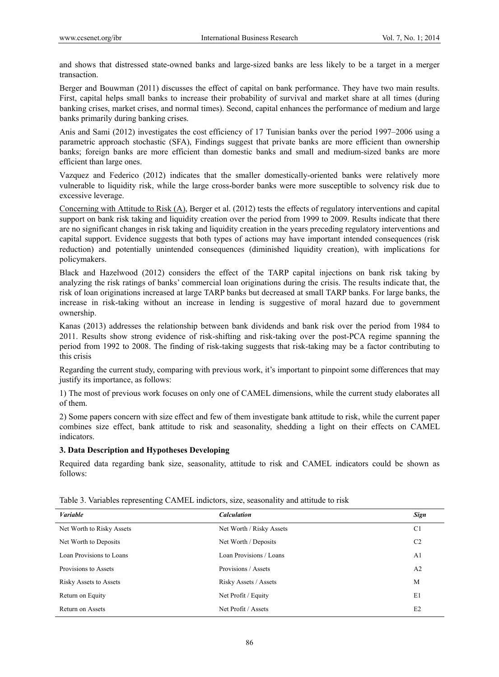and shows that distressed state-owned banks and large-sized banks are less likely to be a target in a merger transaction.

Berger and Bouwman (2011) discusses the effect of capital on bank performance. They have two main results. First, capital helps small banks to increase their probability of survival and market share at all times (during banking crises, market crises, and normal times). Second, capital enhances the performance of medium and large banks primarily during banking crises.

Anis and Sami (2012) investigates the cost efficiency of 17 Tunisian banks over the period 1997–2006 using a parametric approach stochastic (SFA), Findings suggest that private banks are more efficient than ownership banks; foreign banks are more efficient than domestic banks and small and medium-sized banks are more efficient than large ones.

Vazquez and Federico (2012) indicates that the smaller domestically-oriented banks were relatively more vulnerable to liquidity risk, while the large cross-border banks were more susceptible to solvency risk due to excessive leverage.

Concerning with Attitude to Risk (A), Berger et al. (2012) tests the effects of regulatory interventions and capital support on bank risk taking and liquidity creation over the period from 1999 to 2009. Results indicate that there are no significant changes in risk taking and liquidity creation in the years preceding regulatory interventions and capital support. Evidence suggests that both types of actions may have important intended consequences (risk reduction) and potentially unintended consequences (diminished liquidity creation), with implications for policymakers.

Black and Hazelwood (2012) considers the effect of the TARP capital injections on bank risk taking by analyzing the risk ratings of banks' commercial loan originations during the crisis. The results indicate that, the risk of loan originations increased at large TARP banks but decreased at small TARP banks. For large banks, the increase in risk-taking without an increase in lending is suggestive of moral hazard due to government ownership.

Kanas (2013) addresses the relationship between bank dividends and bank risk over the period from 1984 to 2011. Results show strong evidence of risk-shifting and risk-taking over the post-PCA regime spanning the period from 1992 to 2008. The finding of risk-taking suggests that risk-taking may be a factor contributing to this crisis

Regarding the current study, comparing with previous work, it's important to pinpoint some differences that may justify its importance, as follows:

1) The most of previous work focuses on only one of CAMEL dimensions, while the current study elaborates all of them.

2) Some papers concern with size effect and few of them investigate bank attitude to risk, while the current paper combines size effect, bank attitude to risk and seasonality, shedding a light on their effects on CAMEL indicators.

## **3. Data Description and Hypotheses Developing**

Required data regarding bank size, seasonality, attitude to risk and CAMEL indicators could be shown as follows:

| <b>Variable</b>           | <b>Calculation</b>       | Sign           |
|---------------------------|--------------------------|----------------|
| Net Worth to Risky Assets | Net Worth / Risky Assets | C <sub>1</sub> |
| Net Worth to Deposits     | Net Worth / Deposits     | C <sub>2</sub> |
| Loan Provisions to Loans  | Loan Provisions / Loans  | A <sub>1</sub> |
| Provisions to Assets      | Provisions / Assets      | A <sub>2</sub> |
| Risky Assets to Assets    | Risky Assets / Assets    | M              |
| Return on Equity          | Net Profit / Equity      | E1             |
| Return on Assets          | Net Profit / Assets      | E2             |

Table 3. Variables representing CAMEL indictors, size, seasonality and attitude to risk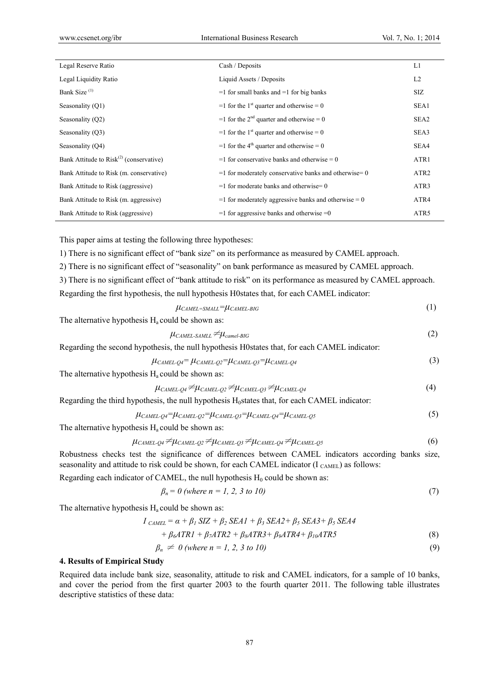| Legal Reserve Ratio                          | Cash / Deposits                                             | L1               |
|----------------------------------------------|-------------------------------------------------------------|------------------|
| Legal Liquidity Ratio                        | Liquid Assets / Deposits                                    | L <sub>2</sub>   |
| Bank Size <sup>(1)</sup>                     | $=$ 1 for small banks and $=$ 1 for big banks               | SIZ              |
| Seasonality (Q1)                             | $=$ 1 for the 1 <sup>st</sup> quarter and otherwise $= 0$   | SEA1             |
| Seasonality (Q2)                             | $=$ 1 for the 2 <sup>nd</sup> quarter and otherwise $=$ 0   | SEA2             |
| Seasonality (Q3)                             | $=$ 1 for the 1 <sup>st</sup> quarter and otherwise $= 0$   | SEA3             |
| Seasonality (Q4)                             | $=$ 1 for the 4 <sup>th</sup> quarter and otherwise $=$ 0   | SEA4             |
| Bank Attitude to $Risk^{(2)}$ (conservative) | $=$ 1 for conservative banks and otherwise $= 0$            | ATR1             |
| Bank Attitude to Risk (m. conservative)      | $=$ 1 for moderately conservative banks and otherwise $=$ 0 | ATR <sub>2</sub> |
| Bank Attitude to Risk (aggressive)           | $=$ 1 for moderate banks and otherwise $= 0$                | ATR3             |
| Bank Attitude to Risk (m. aggressive)        | $=$ 1 for moderately aggressive banks and otherwise $= 0$   | ATR4             |
| Bank Attitude to Risk (aggressive)           | $=$ 1 for aggressive banks and otherwise $=$ 0              | ATR <sub>5</sub> |

This paper aims at testing the following three hypotheses:

1) There is no significant effect of "bank size" on its performance as measured by CAMEL approach.

2) There is no significant effect of "seasonality" on bank performance as measured by CAMEL approach.

3) There is no significant effect of "bank attitude to risk" on its performance as measured by CAMEL approach. Regarding the first hypothesis, the null hypothesis H0states that, for each CAMEL indicator:

$$
\mu_{CAMEL=SMALL} = \mu_{CAMEL-BIG} \tag{1}
$$

The alternative hypothesis  $H_a$  could be shown as:

 $\mu_{\text{CAMEL-SAML}} \neq \mu_{\text{camel-BIG}}$  (2)

Regarding the second hypothesis, the null hypothesis H0states that, for each CAMEL indicator:

$$
\mu_{CAMEL\text{-}Q4} = \mu_{CAMEL\text{-}Q2} = \mu_{CAMEL\text{-}Q3} = \mu_{CAMEL\text{-}Q4}
$$
\n(3)

The alternative hypothesis  $H_a$  could be shown as:

$$
\mu_{CAMEL\text{-}Q4} \neq \mu_{CAMEL\text{-}Q2} \neq \mu_{CAMEL\text{-}Q3} \neq \mu_{CAMEL\text{-}Q4}
$$
\n
$$
\tag{4}
$$

Regarding the third hypothesis, the null hypothesis  $H_0$ states that, for each CAMEL indicator:

$$
\mu_{CAMEL\text{-}Q4} = \mu_{CAMEL\text{-}Q2} = \mu_{CAMEL\text{-}Q3} = \mu_{CAMEL\text{-}Q4} = \mu_{CAMEL\text{-}Q5}
$$
\n
$$
\tag{5}
$$

The alternative hypothesis  $H_a$  could be shown as:

$$
\mu_{CAMEL\text{-}Q4} \neq \mu_{CAMEL\text{-}Q2} \neq \mu_{CAMEL\text{-}Q3} \neq \mu_{CAMEL\text{-}Q4} \neq \mu_{CAMEL\text{-}Q5}
$$
(6)

Robustness checks test the significance of differences between CAMEL indicators according banks size, seasonality and attitude to risk could be shown, for each CAMEL indicator ( $I_{CAMEL}$ ) as follows:

Regarding each indicator of CAMEL, the null hypothesis  $H_0$  could be shown as:

$$
\beta_n = 0 \text{ (where } n = 1, 2, 3 \text{ to } 10) \tag{7}
$$

The alternative hypothesis  $H_a$  could be shown as:

$$
I_{CAMEL} = \alpha + \beta_1 \, SIZ + \beta_2 \, SEAI + \beta_3 \, SEA2 + \beta_5 \, SEA3 + \beta_5 \, SEA4
$$
  
+  $\beta_6 ATR1 + \beta_7 ATR2 + \beta_8 ATR3 + \beta_9 ATR4 + \beta_{10} ATR5$  (8)

$$
0 \neq 0 \ (a \cdot b \cdot \cdot \cdot = 1, 2, 3, 10) \tag{0}
$$

$$
\beta_n \neq 0 \text{ (where } n = 1, 2, 3 \text{ to } 10) \tag{9}
$$

### **4. Results of Empirical Study**

Required data include bank size, seasonality, attitude to risk and CAMEL indicators, for a sample of 10 banks, and cover the period from the first quarter 2003 to the fourth quarter 2011. The following table illustrates descriptive statistics of these data: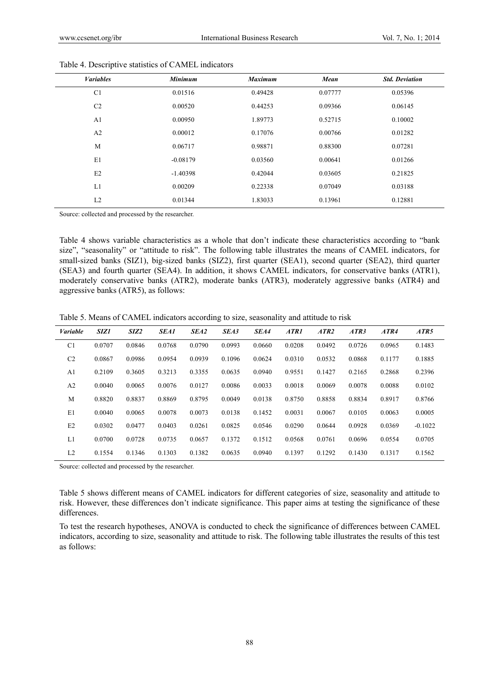| <b>Variables</b> | <b>Minimum</b> | <b>Maximum</b> | Mean    | <b>Std. Deviation</b> |
|------------------|----------------|----------------|---------|-----------------------|
| C <sub>1</sub>   | 0.01516        | 0.49428        | 0.07777 | 0.05396               |
| C <sub>2</sub>   | 0.00520        | 0.44253        | 0.09366 | 0.06145               |
| A <sub>1</sub>   | 0.00950        | 1.89773        | 0.52715 | 0.10002               |
| A <sub>2</sub>   | 0.00012        | 0.17076        | 0.00766 | 0.01282               |
| M                | 0.06717        | 0.98871        | 0.88300 | 0.07281               |
| E1               | $-0.08179$     | 0.03560        | 0.00641 | 0.01266               |
| E2               | $-1.40398$     | 0.42044        | 0.03605 | 0.21825               |
| L1               | 0.00209        | 0.22338        | 0.07049 | 0.03188               |
| L2               | 0.01344        | 1.83033        | 0.13961 | 0.12881               |

Table 4. Descriptive statistics of CAMEL indicators

Source: collected and processed by the researcher.

Table 4 shows variable characteristics as a whole that don't indicate these characteristics according to "bank size", "seasonality" or "attitude to risk". The following table illustrates the means of CAMEL indicators, for small-sized banks (SIZ1), big-sized banks (SIZ2), first quarter (SEA1), second quarter (SEA2), third quarter (SEA3) and fourth quarter (SEA4). In addition, it shows CAMEL indicators, for conservative banks (ATR1), moderately conservative banks (ATR2), moderate banks (ATR3), moderately aggressive banks (ATR4) and aggressive banks (ATR5), as follows:

Table 5. Means of CAMEL indicators according to size, seasonality and attitude to risk

| <b>Variable</b> | SIZ1   | SIZ2   | <b>SEA1</b> | SEA2   | SEA3   | SEA4   | ATR1   | ATR2   | ATR3   | ATR4   | ATR5      |
|-----------------|--------|--------|-------------|--------|--------|--------|--------|--------|--------|--------|-----------|
| C <sub>1</sub>  | 0.0707 | 0.0846 | 0.0768      | 0.0790 | 0.0993 | 0.0660 | 0.0208 | 0.0492 | 0.0726 | 0.0965 | 0.1483    |
| C <sub>2</sub>  | 0.0867 | 0.0986 | 0.0954      | 0.0939 | 0.1096 | 0.0624 | 0.0310 | 0.0532 | 0.0868 | 0.1177 | 0.1885    |
| A1              | 0.2109 | 0.3605 | 0.3213      | 0.3355 | 0.0635 | 0.0940 | 0.9551 | 0.1427 | 0.2165 | 0.2868 | 0.2396    |
| A <sub>2</sub>  | 0.0040 | 0.0065 | 0.0076      | 0.0127 | 0.0086 | 0.0033 | 0.0018 | 0.0069 | 0.0078 | 0.0088 | 0.0102    |
| M               | 0.8820 | 0.8837 | 0.8869      | 0.8795 | 0.0049 | 0.0138 | 0.8750 | 0.8858 | 0.8834 | 0.8917 | 0.8766    |
| E1              | 0.0040 | 0.0065 | 0.0078      | 0.0073 | 0.0138 | 0.1452 | 0.0031 | 0.0067 | 0.0105 | 0.0063 | 0.0005    |
| E2              | 0.0302 | 0.0477 | 0.0403      | 0.0261 | 0.0825 | 0.0546 | 0.0290 | 0.0644 | 0.0928 | 0.0369 | $-0.1022$ |
| L1              | 0.0700 | 0.0728 | 0.0735      | 0.0657 | 0.1372 | 0.1512 | 0.0568 | 0.0761 | 0.0696 | 0.0554 | 0.0705    |
| L <sub>2</sub>  | 0.1554 | 0.1346 | 0.1303      | 0.1382 | 0.0635 | 0.0940 | 0.1397 | 0.1292 | 0.1430 | 0.1317 | 0.1562    |

Source: collected and processed by the researcher.

Table 5 shows different means of CAMEL indicators for different categories of size, seasonality and attitude to risk. However, these differences don't indicate significance. This paper aims at testing the significance of these differences.

To test the research hypotheses, ANOVA is conducted to check the significance of differences between CAMEL indicators, according to size, seasonality and attitude to risk. The following table illustrates the results of this test as follows: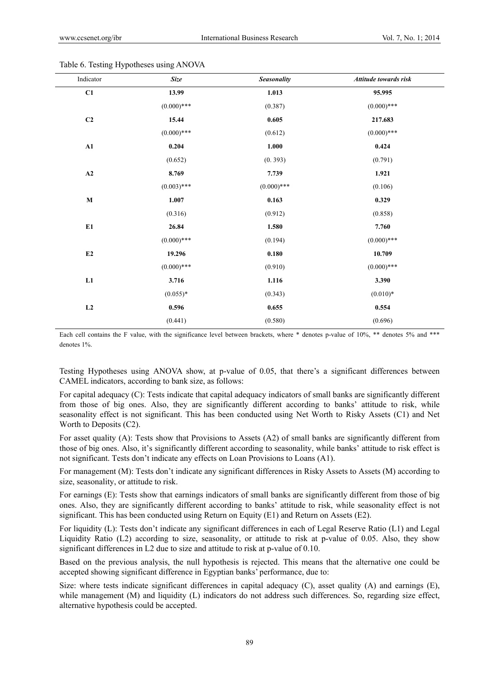| Indicator   | <b>Size</b>   | Seasonality   | Attitude towards risk |
|-------------|---------------|---------------|-----------------------|
| C1          | 13.99         | 1.013         | 95.995                |
|             | $(0.000)$ *** | (0.387)       | $(0.000)$ ***         |
| C2          | 15.44         | 0.605         | 217.683               |
|             | $(0.000)$ *** | (0.612)       | $(0.000)$ ***         |
| ${\bf A1}$  | 0.204         | 1.000         | 0.424                 |
|             | (0.652)       | (0.393)       | (0.791)               |
| A2          | 8.769         | 7.739         | 1.921                 |
|             | $(0.003)$ *** | $(0.000)$ *** | (0.106)               |
| $\mathbf M$ | 1.007         | 0.163         | 0.329                 |
|             | (0.316)       | (0.912)       | (0.858)               |
| E1          | 26.84         | 1.580         | 7.760                 |
|             | $(0.000)$ *** | (0.194)       | $(0.000)$ ***         |
| E2          | 19.296        | 0.180         | 10.709                |
|             | $(0.000)$ *** | (0.910)       | $(0.000)$ ***         |
| ${\bf L1}$  | 3.716         | 1.116         | 3.390                 |
|             | $(0.055)*$    | (0.343)       | $(0.010)*$            |
| $\bf L2$    | 0.596         | 0.655         | 0.554                 |
|             | (0.441)       | (0.580)       | (0.696)               |

Table 6. Testing Hypotheses using ANOVA

Each cell contains the F value, with the significance level between brackets, where \* denotes p-value of 10%, \*\* denotes 5% and \*\*\* denotes 1%.

Testing Hypotheses using ANOVA show, at p-value of 0.05, that there's a significant differences between CAMEL indicators, according to bank size, as follows:

For capital adequacy (C): Tests indicate that capital adequacy indicators of small banks are significantly different from those of big ones. Also, they are significantly different according to banks' attitude to risk, while seasonality effect is not significant. This has been conducted using Net Worth to Risky Assets (C1) and Net Worth to Deposits (C2).

For asset quality (A): Tests show that Provisions to Assets (A2) of small banks are significantly different from those of big ones. Also, it's significantly different according to seasonality, while banks' attitude to risk effect is not significant. Tests don't indicate any effects on Loan Provisions to Loans (A1).

For management (M): Tests don't indicate any significant differences in Risky Assets to Assets (M) according to size, seasonality, or attitude to risk.

For earnings (E): Tests show that earnings indicators of small banks are significantly different from those of big ones. Also, they are significantly different according to banks' attitude to risk, while seasonality effect is not significant. This has been conducted using Return on Equity (E1) and Return on Assets (E2).

For liquidity (L): Tests don't indicate any significant differences in each of Legal Reserve Ratio (L1) and Legal Liquidity Ratio (L2) according to size, seasonality, or attitude to risk at p-value of 0.05. Also, they show significant differences in L2 due to size and attitude to risk at p-value of 0.10.

Based on the previous analysis, the null hypothesis is rejected. This means that the alternative one could be accepted showing significant difference in Egyptian banks' performance, due to:

Size: where tests indicate significant differences in capital adequacy (C), asset quality (A) and earnings (E), while management (M) and liquidity (L) indicators do not address such differences. So, regarding size effect, alternative hypothesis could be accepted.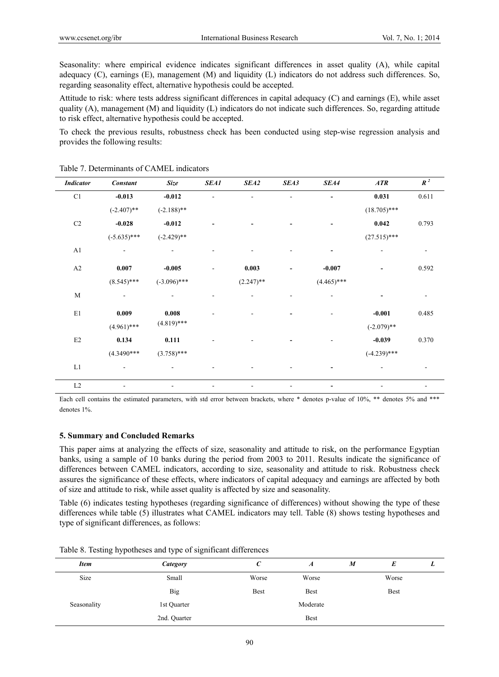Seasonality: where empirical evidence indicates significant differences in asset quality (A), while capital adequacy (C), earnings (E), management (M) and liquidity (L) indicators do not address such differences. So, regarding seasonality effect, alternative hypothesis could be accepted.

Attitude to risk: where tests address significant differences in capital adequacy (C) and earnings (E), while asset quality (A), management (M) and liquidity (L) indicators do not indicate such differences. So, regarding attitude to risk effect, alternative hypothesis could be accepted.

To check the previous results, robustness check has been conducted using step-wise regression analysis and provides the following results:

| <b>Indicator</b> | <b>Constant</b> | Size           | <b>SEA1</b>   | SEA2         | SEA3           | SEA4                     | ATR            | $R^2$ |
|------------------|-----------------|----------------|---------------|--------------|----------------|--------------------------|----------------|-------|
| C1               | $-0.013$        | $-0.012$       |               |              |                |                          | 0.031          | 0.611 |
|                  | $(-2.407)$ **   | $(-2.188)$ **  |               |              |                |                          | $(18.705)$ *** |       |
| C <sub>2</sub>   | $-0.028$        | $-0.012$       |               |              |                | $\overline{\phantom{a}}$ | 0.042          | 0.793 |
|                  | $(-5.635)$ ***  | $(-2.429)$ **  |               |              |                |                          | $(27.515)$ *** |       |
| A1               | $\frac{1}{2}$   |                |               |              |                | $\overline{\phantom{a}}$ |                |       |
| A2               | 0.007           | $-0.005$       | $\frac{1}{2}$ | 0.003        | $\overline{a}$ | $-0.007$                 |                | 0.592 |
|                  | $(8.545)$ ***   | $(-3.096)$ *** |               | $(2.247)$ ** |                | $(4.465)$ ***            |                |       |
| M                |                 |                |               |              |                |                          |                |       |
| $\rm E1$         | 0.009           | 0.008          |               |              |                | L.                       | $-0.001$       | 0.485 |
|                  | $(4.961)$ ***   | $(4.819)$ ***  |               |              |                |                          | $(-2.079)$ **  |       |
| $\rm E2$         | 0.134           | 0.111          |               |              |                |                          | $-0.039$       | 0.370 |
|                  | $(4.3490***$    | $(3.758)$ ***  |               |              |                |                          | $(-4.239)$ *** |       |
| L1               | $\blacksquare$  | ۰              |               |              |                | $\overline{\phantom{a}}$ |                |       |
| $\rm L2$         | ۰               |                |               |              |                | $\overline{\phantom{a}}$ |                | -     |

Table 7. Determinants of CAMEL indicators

Each cell contains the estimated parameters, with std error between brackets, where \* denotes p-value of 10%, \*\* denotes 5% and \*\*\* denotes 1%.

### **5. Summary and Concluded Remarks**

This paper aims at analyzing the effects of size, seasonality and attitude to risk, on the performance Egyptian banks, using a sample of 10 banks during the period from 2003 to 2011. Results indicate the significance of differences between CAMEL indicators, according to size, seasonality and attitude to risk. Robustness check assures the significance of these effects, where indicators of capital adequacy and earnings are affected by both of size and attitude to risk, while asset quality is affected by size and seasonality.

Table (6) indicates testing hypotheses (regarding significance of differences) without showing the type of these differences while table (5) illustrates what CAMEL indicators may tell. Table (8) shows testing hypotheses and type of significant differences, as follows:

| <b>Item</b> | Category     | U           | A        | M | E     |  |
|-------------|--------------|-------------|----------|---|-------|--|
| Size        | Small        | Worse       | Worse    |   | Worse |  |
|             | Big          | <b>Best</b> | Best     |   | Best  |  |
| Seasonality | 1st Quarter  |             | Moderate |   |       |  |
|             | 2nd. Quarter |             | Best     |   |       |  |

Table 8. Testing hypotheses and type of significant differences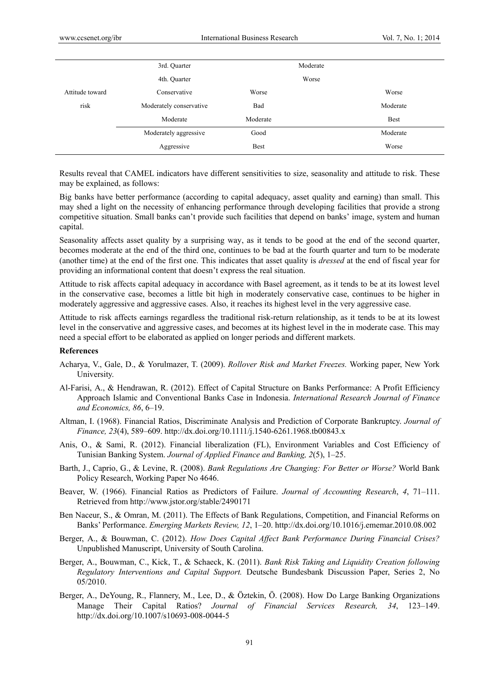|                 | 3rd. Quarter            |             | Moderate |             |
|-----------------|-------------------------|-------------|----------|-------------|
|                 | 4th. Quarter            |             | Worse    |             |
| Attitude toward | Conservative            | Worse       |          | Worse       |
| risk            | Moderately conservative | Bad         |          | Moderate    |
|                 | Moderate                | Moderate    |          | <b>Best</b> |
|                 | Moderately aggressive   | Good        |          | Moderate    |
|                 | Aggressive              | <b>Best</b> |          | Worse       |
|                 |                         |             |          |             |

Results reveal that CAMEL indicators have different sensitivities to size, seasonality and attitude to risk. These may be explained, as follows:

Big banks have better performance (according to capital adequacy, asset quality and earning) than small. This may shed a light on the necessity of enhancing performance through developing facilities that provide a strong competitive situation. Small banks can't provide such facilities that depend on banks' image, system and human capital.

Seasonality affects asset quality by a surprising way, as it tends to be good at the end of the second quarter, becomes moderate at the end of the third one, continues to be bad at the fourth quarter and turn to be moderate (another time) at the end of the first one. This indicates that asset quality is *dressed* at the end of fiscal year for providing an informational content that doesn't express the real situation.

Attitude to risk affects capital adequacy in accordance with Basel agreement, as it tends to be at its lowest level in the conservative case, becomes a little bit high in moderately conservative case, continues to be higher in moderately aggressive and aggressive cases. Also, it reaches its highest level in the very aggressive case.

Attitude to risk affects earnings regardless the traditional risk-return relationship, as it tends to be at its lowest level in the conservative and aggressive cases, and becomes at its highest level in the in moderate case. This may need a special effort to be elaborated as applied on longer periods and different markets.

#### **References**

- Acharya, V., Gale, D., & Yorulmazer, T. (2009). *Rollover Risk and Market Freezes.* Working paper, New York University.
- Al-Farisi, A., & Hendrawan, R. (2012). Effect of Capital Structure on Banks Performance: A Profit Efficiency Approach Islamic and Conventional Banks Case in Indonesia. *International Research Journal of Finance and Economics, 86*, 6–19.
- Altman, I. (1968). Financial Ratios, Discriminate Analysis and Prediction of Corporate Bankruptcy. *Journal of Finance, 23*(4), 589–609. http://dx.doi.org/10.1111/j.1540-6261.1968.tb00843.x
- Anis, O., & Sami, R. (2012). Financial liberalization (FL), Environment Variables and Cost Efficiency of Tunisian Banking System. *Journal of Applied Finance and Banking, 2*(5), 1–25.
- Barth, J., Caprio, G., & Levine, R. (2008). *Bank Regulations Are Changing: For Better or Worse?* World Bank Policy Research, Working Paper No 4646.
- Beaver, W. (1966). Financial Ratios as Predictors of Failure. *Journal of Accounting Research*, *4*, 71–111. Retrieved from http://www.jstor.org/stable/2490171
- Ben Naceur, S., & Omran, M. (2011). The Effects of Bank Regulations, Competition, and Financial Reforms on Banks' Performance. *Emerging Markets Review, 12*, 1–20. http://dx.doi.org/10.1016/j.ememar.2010.08.002
- Berger, A., & Bouwman, C. (2012). *How Does Capital Affect Bank Performance During Financial Crises?*  Unpublished Manuscript, University of South Carolina.
- Berger, A., Bouwman, C., Kick, T., & Schaeck, K. (2011). *Bank Risk Taking and Liquidity Creation following Regulatory Interventions and Capital Support.* Deutsche Bundesbank Discussion Paper, Series 2, No 05/2010.
- Berger, A., DeYoung, R., Flannery, M., Lee, D., & Öztekin, Ö. (2008). How Do Large Banking Organizations Manage Their Capital Ratios? *Journal of Financial Services Research, 34*, 123–149. http://dx.doi.org/10.1007/s10693-008-0044-5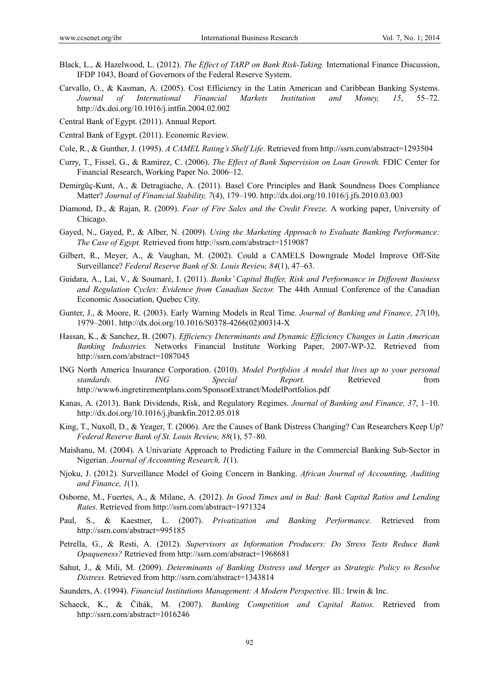- Black, L., & Hazelwood, L. (2012). *The Effect of TARP on Bank Risk-Taking.* International Finance Discussion, IFDP 1043, Board of Governors of the Federal Reserve System.
- Carvallo, O., & Kasman, A. (2005). Cost Efficiency in the Latin American and Caribbean Banking Systems. *Journal of International Financial Markets Institution and Money, 15*, 55–72. http://dx.doi.org/10.1016/j.intfin.2004.02.002
- Central Bank of Egypt. (2011). Annual Report.
- Central Bank of Egypt. (2011). Economic Review.
- Cole, R., & Gunther, J. (1995). *A CAMEL Rating's Shelf Life*. Retrieved from http://ssrn.com/abstract=1293504
- Curry, T., Fissel, G., & Ramirez, C. (2006). *The Effect of Bank Supervision on Loan Growth.* FDIC Center for Financial Research, Working Paper No. 2006–12.
- Demirgüç-Kunt, A., & Detragiache, A. (2011). Basel Core Principles and Bank Soundness Does Compliance Matter? *Journal of Financial Stability, 7*(4), 179–190. http://dx.doi.org/10.1016/j.jfs.2010.03.003
- Diamond, D., & Rajan, R. (2009). *Fear of Fire Sales and the Credit Freeze.* A working paper, University of Chicago.
- Gayed, N., Gayed, P., & Alber, N. (2009). *Using the Marketing Approach to Evaluate Banking Performance: The Case of Egypt.* Retrieved from http://ssrn.com/abstract=1519087
- Gilbert, R., Meyer, A., & Vaughan, M. (2002). Could a CAMELS Downgrade Model Improve Off-Site Surveillance? *Federal Reserve Bank of St. Louis Review, 84*(1), 47–63.
- Guidara, A., Lai, V., & Soumaré, I. (2011). *Banks' Capital Buffer, Risk and Performance in Different Business and Regulation Cycles: Evidence from Canadian Sector.* The 44th Annual Conference of the Canadian Economic Association, Quebec City.
- Gunter, J., & Moore, R. (2003). Early Warning Models in Real Time. *Journal of Banking and Finance, 27*(10), 1979–2001. http://dx.doi.org/10.1016/S0378-4266(02)00314-X
- Hassan, K., & Sanchez, B. (2007). *Efficiency Determinants and Dynamic Efficiency Changes in Latin American Banking Industries.* Networks Financial Institute Working Paper, 2007-WP-32. Retrieved from http://ssrn.com/abstract=1087045
- ING North America Insurance Corporation. (2010). *Model Portfolios A model that lives up to your personal standards. ING Special Report.* Retrieved from http://www6.ingretirementplans.com/SponsorExtranet/ModelPortfolios.pdf
- Kanas, A. (2013). Bank Dividends, Risk, and Regulatory Regimes. *Journal of Banking and Finance, 37*, 1–10. http://dx.doi.org/10.1016/j.jbankfin.2012.05.018
- King, T., Nuxoll, D., & Yeager, T. (2006). Are the Causes of Bank Distress Changing? Can Researchers Keep Up? *Federal Reserve Bank of St. Louis Review, 88*(1), 57–80.
- Maishanu, M. (2004). A Univariate Approach to Predicting Failure in the Commercial Banking Sub-Sector in Nigerian. *Journal of Accounting Research, 1*(1).
- Njoku, J. (2012). Surveillance Model of Going Concern in Banking. *African Journal of Accounting, Auditing and Finance, 1*(1).
- Osborne, M., Fuertes, A., & Milane, A. (2012). *In Good Times and in Bad: Bank Capital Ratios and Lending Rates.* Retrieved from http://ssrn.com/abstract=1971324
- Paul, S., & Kaestner, L. (2007). *Privatization and Banking Performance.* Retrieved from http://ssrn.com/abstract=995185
- Petrella, G., & Resti, A. (2012). *Supervisors as Information Producers: Do Stress Tests Reduce Bank Opaqueness?* Retrieved from http://ssrn.com/abstract=1968681
- Sahut, J., & Mili, M. (2009). *Determinants of Banking Distress and Merger as Strategic Policy to Resolve Distress.* Retrieved from http://ssrn.com/abstract=1343814
- Saunders, A. (1994). *Financial Institutions Management: A Modern Perspective.* Ill.: Irwin & Inc.
- Schaeck, K., & Čihák, M. (2007). *Banking Competition and Capital Ratios.* Retrieved from http://ssrn.com/abstract=1016246